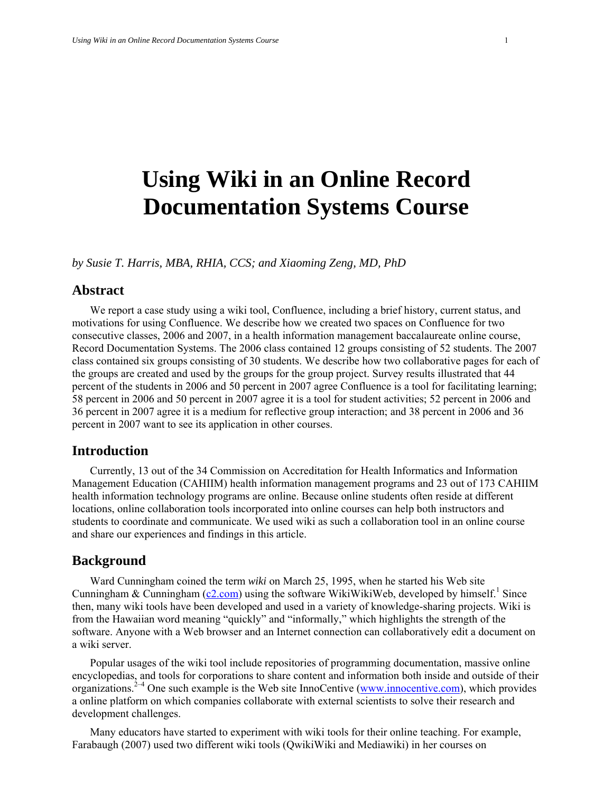# **Using Wiki in an Online Record Documentation Systems Course**

*by Susie T. Harris, MBA, RHIA, CCS; and Xiaoming Zeng, MD, PhD* 

#### **Abstract**

We report a case study using a wiki tool, Confluence, including a brief history, current status, and motivations for using Confluence. We describe how we created two spaces on Confluence for two consecutive classes, 2006 and 2007, in a health information management baccalaureate online course, Record Documentation Systems. The 2006 class contained 12 groups consisting of 52 students. The 2007 class contained six groups consisting of 30 students. We describe how two collaborative pages for each of the groups are created and used by the groups for the group project. Survey results illustrated that 44 percent of the students in 2006 and 50 percent in 2007 agree Confluence is a tool for facilitating learning; 58 percent in 2006 and 50 percent in 2007 agree it is a tool for student activities; 52 percent in 2006 and 36 percent in 2007 agree it is a medium for reflective group interaction; and 38 percent in 2006 and 36 percent in 2007 want to see its application in other courses.

#### **Introduction**

Currently, 13 out of the 34 Commission on Accreditation for Health Informatics and Information Management Education (CAHIIM) health information management programs and 23 out of 173 CAHIIM health information technology programs are online. Because online students often reside at different locations, online collaboration tools incorporated into online courses can help both instructors and students to coordinate and communicate. We used wiki as such a collaboration tool in an online course and share our experiences and findings in this article.

#### **Background**

Ward Cunningham coined the term *wiki* on March 25, 1995, when he started his Web site Cunningham & Cunningham  $(c2.com)$  $(c2.com)$  using the software WikiWikiWeb, developed by himself.<sup>1</sup> Since then, many wiki tools have been developed and used in a variety of knowledge-sharing projects. Wiki is from the Hawaiian word meaning "quickly" and "informally," which highlights the strength of the software. Anyone with a Web browser and an Internet connection can collaboratively edit a document on a wiki server.

Popular usages of the wiki tool include repositories of programming documentation, massive online encyclopedias, and tools for corporations to share content and information both inside and outside of their organizations.<sup>2–4</sup> One such example is the Web site InnoCentive ([www.innocentive.com\)](http://www.innocentive.com/), which provides a online platform on which companies collaborate with external scientists to solve their research and development challenges.

Many educators have started to experiment with wiki tools for their online teaching. For example, Farabaugh (2007) used two different wiki tools (QwikiWiki and Mediawiki) in her courses on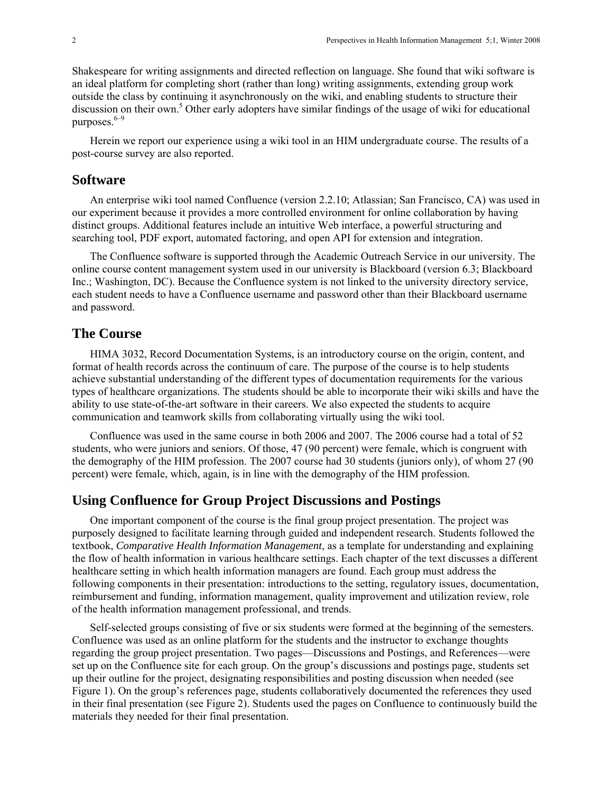Shakespeare for writing assignments and directed reflection on language. She found that wiki software is an ideal platform for completing short (rather than long) writing assignments, extending group work outside the class by continuing it asynchronously on the wiki, and enabling students to structure their discussion on their own.<sup>5</sup> Other early adopters have similar findings of the usage of wiki for educational purposes. $6-9$ 

Herein we report our experience using a wiki tool in an HIM undergraduate course. The results of a post-course survey are also reported.

#### **Software**

An enterprise wiki tool named Confluence (version 2.2.10; Atlassian; San Francisco, CA) was used in our experiment because it provides a more controlled environment for online collaboration by having distinct groups. Additional features include an intuitive Web interface, a powerful structuring and searching tool, PDF export, automated factoring, and open API for extension and integration.

The Confluence software is supported through the Academic Outreach Service in our university. The online course content management system used in our university is Blackboard (version 6.3; Blackboard Inc.; Washington, DC). Because the Confluence system is not linked to the university directory service, each student needs to have a Confluence username and password other than their Blackboard username and password.

#### **The Course**

HIMA 3032, Record Documentation Systems, is an introductory course on the origin, content, and format of health records across the continuum of care. The purpose of the course is to help students achieve substantial understanding of the different types of documentation requirements for the various types of healthcare organizations. The students should be able to incorporate their wiki skills and have the ability to use state-of-the-art software in their careers. We also expected the students to acquire communication and teamwork skills from collaborating virtually using the wiki tool.

Confluence was used in the same course in both 2006 and 2007. The 2006 course had a total of 52 students, who were juniors and seniors. Of those, 47 (90 percent) were female, which is congruent with the demography of the HIM profession. The 2007 course had 30 students (juniors only), of whom 27 (90 percent) were female, which, again, is in line with the demography of the HIM profession.

#### **Using Confluence for Group Project Discussions and Postings**

One important component of the course is the final group project presentation. The project was purposely designed to facilitate learning through guided and independent research. Students followed the textbook, *Comparative Health Information Management*, as a template for understanding and explaining the flow of health information in various healthcare settings. Each chapter of the text discusses a different healthcare setting in which health information managers are found. Each group must address the following components in their presentation: introductions to the setting, regulatory issues, documentation, reimbursement and funding, information management, quality improvement and utilization review, role of the health information management professional, and trends.

Self-selected groups consisting of five or six students were formed at the beginning of the semesters. Confluence was used as an online platform for the students and the instructor to exchange thoughts regarding the group project presentation. Two pages—Discussions and Postings, and References—were set up on the Confluence site for each group. On the group's discussions and postings page, students set up their outline for the project, designating responsibilities and posting discussion when needed (see Figure 1). On the group's references page, students collaboratively documented the references they used in their final presentation (see Figure 2). Students used the pages on Confluence to continuously build the materials they needed for their final presentation.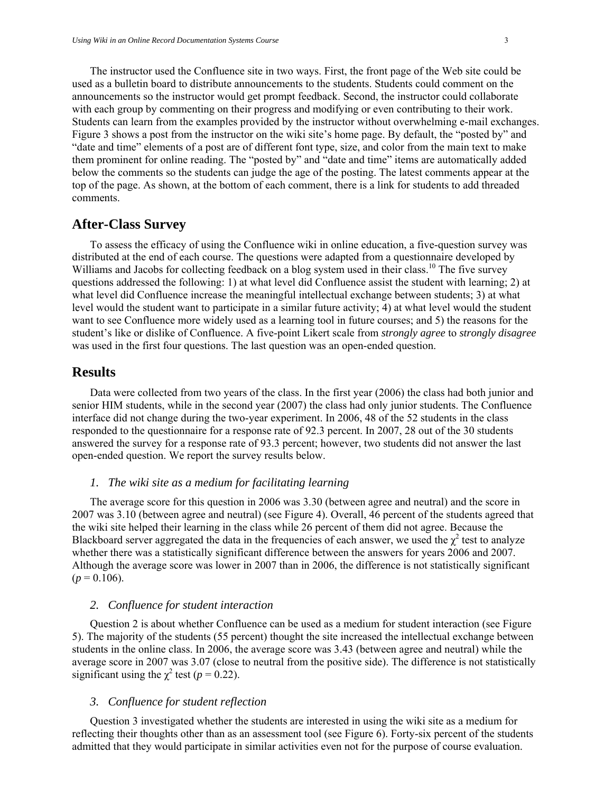The instructor used the Confluence site in two ways. First, the front page of the Web site could be used as a bulletin board to distribute announcements to the students. Students could comment on the announcements so the instructor would get prompt feedback. Second, the instructor could collaborate with each group by commenting on their progress and modifying or even contributing to their work. Students can learn from the examples provided by the instructor without overwhelming e-mail exchanges. Figure 3 shows a post from the instructor on the wiki site's home page. By default, the "posted by" and "date and time" elements of a post are of different font type, size, and color from the main text to make them prominent for online reading. The "posted by" and "date and time" items are automatically added below the comments so the students can judge the age of the posting. The latest comments appear at the top of the page. As shown, at the bottom of each comment, there is a link for students to add threaded comments.

### **After-Class Survey**

To assess the efficacy of using the Confluence wiki in online education, a five-question survey was distributed at the end of each course. The questions were adapted from a questionnaire developed by Williams and Jacobs for collecting feedback on a blog system used in their class.<sup>10</sup> The five survey questions addressed the following: 1) at what level did Confluence assist the student with learning; 2) at what level did Confluence increase the meaningful intellectual exchange between students; 3) at what level would the student want to participate in a similar future activity; 4) at what level would the student want to see Confluence more widely used as a learning tool in future courses; and 5) the reasons for the student's like or dislike of Confluence. A five-point Likert scale from *strongly agree* to *strongly disagree* was used in the first four questions. The last question was an open-ended question.

#### **Results**

Data were collected from two years of the class. In the first year (2006) the class had both junior and senior HIM students, while in the second year (2007) the class had only junior students. The Confluence interface did not change during the two-year experiment. In 2006, 48 of the 52 students in the class responded to the questionnaire for a response rate of 92.3 percent. In 2007, 28 out of the 30 students answered the survey for a response rate of 93.3 percent; however, two students did not answer the last open-ended question. We report the survey results below.

#### *1. The wiki site as a medium for facilitating learning*

The average score for this question in 2006 was 3.30 (between agree and neutral) and the score in 2007 was 3.10 (between agree and neutral) (see Figure 4). Overall, 46 percent of the students agreed that the wiki site helped their learning in the class while 26 percent of them did not agree. Because the Blackboard server aggregated the data in the frequencies of each answer, we used the  $\chi^2$  test to analyze whether there was a statistically significant difference between the answers for years 2006 and 2007. Although the average score was lower in 2007 than in 2006, the difference is not statistically significant  $(p = 0.106)$ .

#### *2. Confluence for student interaction*

Question 2 is about whether Confluence can be used as a medium for student interaction (see Figure 5). The majority of the students (55 percent) thought the site increased the intellectual exchange between students in the online class. In 2006, the average score was 3.43 (between agree and neutral) while the average score in 2007 was 3.07 (close to neutral from the positive side). The difference is not statistically significant using the  $\chi^2$  test ( $p = 0.22$ ).

#### *3. Confluence for student reflection*

Question 3 investigated whether the students are interested in using the wiki site as a medium for reflecting their thoughts other than as an assessment tool (see Figure 6). Forty-six percent of the students admitted that they would participate in similar activities even not for the purpose of course evaluation.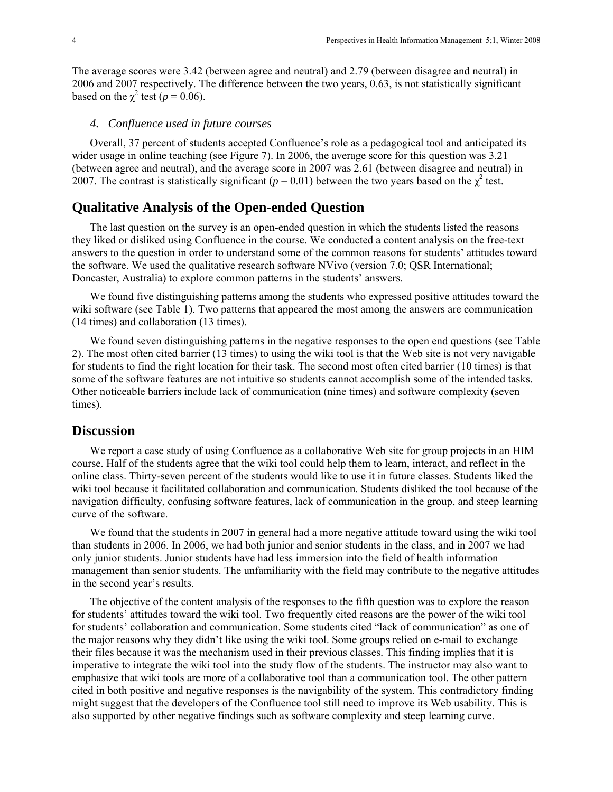The average scores were 3.42 (between agree and neutral) and 2.79 (between disagree and neutral) in 2006 and 2007 respectively. The difference between the two years, 0.63, is not statistically significant based on the  $\chi^2$  test (*p* = 0.06).

#### *4. Confluence used in future courses*

Overall, 37 percent of students accepted Confluence's role as a pedagogical tool and anticipated its wider usage in online teaching (see Figure 7). In 2006, the average score for this question was 3.21 (between agree and neutral), and the average score in 2007 was 2.61 (between disagree and neutral) in 2007. The contrast is statistically significant ( $p = 0.01$ ) between the two years based on the  $\chi^2$  test.

### **Qualitative Analysis of the Open-ended Question**

The last question on the survey is an open-ended question in which the students listed the reasons they liked or disliked using Confluence in the course. We conducted a content analysis on the free-text answers to the question in order to understand some of the common reasons for students' attitudes toward the software. We used the qualitative research software NVivo (version 7.0; QSR International; Doncaster, Australia) to explore common patterns in the students' answers.

We found five distinguishing patterns among the students who expressed positive attitudes toward the wiki software (see Table 1). Two patterns that appeared the most among the answers are communication (14 times) and collaboration (13 times).

We found seven distinguishing patterns in the negative responses to the open end questions (see Table 2). The most often cited barrier (13 times) to using the wiki tool is that the Web site is not very navigable for students to find the right location for their task. The second most often cited barrier (10 times) is that some of the software features are not intuitive so students cannot accomplish some of the intended tasks. Other noticeable barriers include lack of communication (nine times) and software complexity (seven times).

#### **Discussion**

We report a case study of using Confluence as a collaborative Web site for group projects in an HIM course. Half of the students agree that the wiki tool could help them to learn, interact, and reflect in the online class. Thirty-seven percent of the students would like to use it in future classes. Students liked the wiki tool because it facilitated collaboration and communication. Students disliked the tool because of the navigation difficulty, confusing software features, lack of communication in the group, and steep learning curve of the software.

We found that the students in 2007 in general had a more negative attitude toward using the wiki tool than students in 2006. In 2006, we had both junior and senior students in the class, and in 2007 we had only junior students. Junior students have had less immersion into the field of health information management than senior students. The unfamiliarity with the field may contribute to the negative attitudes in the second year's results.

The objective of the content analysis of the responses to the fifth question was to explore the reason for students' attitudes toward the wiki tool. Two frequently cited reasons are the power of the wiki tool for students' collaboration and communication. Some students cited "lack of communication" as one of the major reasons why they didn't like using the wiki tool. Some groups relied on e-mail to exchange their files because it was the mechanism used in their previous classes. This finding implies that it is imperative to integrate the wiki tool into the study flow of the students. The instructor may also want to emphasize that wiki tools are more of a collaborative tool than a communication tool. The other pattern cited in both positive and negative responses is the navigability of the system. This contradictory finding might suggest that the developers of the Confluence tool still need to improve its Web usability. This is also supported by other negative findings such as software complexity and steep learning curve.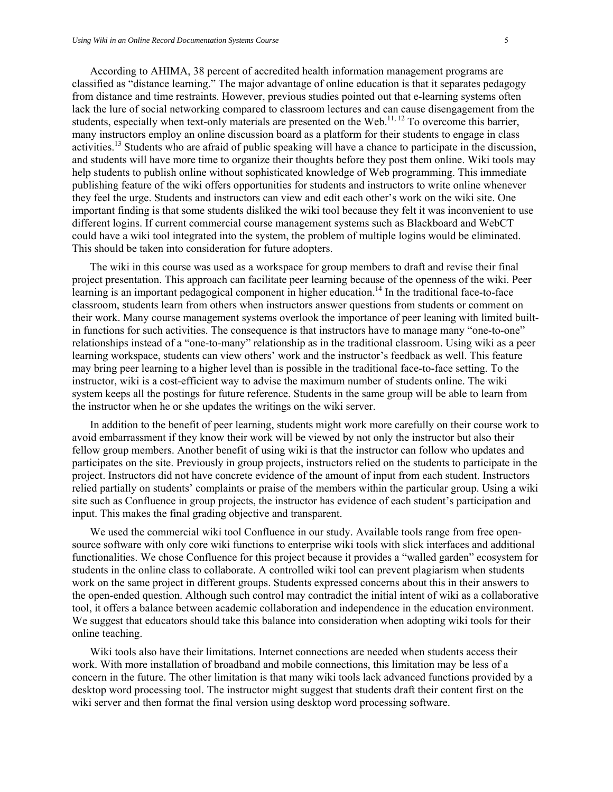According to AHIMA, 38 percent of accredited health information management programs are classified as "distance learning." The major advantage of online education is that it separates pedagogy from distance and time restraints. However, previous studies pointed out that e-learning systems often lack the lure of social networking compared to classroom lectures and can cause disengagement from the students, especially when text-only materials are presented on the Web.<sup>11, 12</sup> To overcome this barrier, many instructors employ an online discussion board as a platform for their students to engage in class activities.13 Students who are afraid of public speaking will have a chance to participate in the discussion, and students will have more time to organize their thoughts before they post them online. Wiki tools may help students to publish online without sophisticated knowledge of Web programming. This immediate publishing feature of the wiki offers opportunities for students and instructors to write online whenever they feel the urge. Students and instructors can view and edit each other's work on the wiki site. One important finding is that some students disliked the wiki tool because they felt it was inconvenient to use different logins. If current commercial course management systems such as Blackboard and WebCT could have a wiki tool integrated into the system, the problem of multiple logins would be eliminated. This should be taken into consideration for future adopters.

The wiki in this course was used as a workspace for group members to draft and revise their final project presentation. This approach can facilitate peer learning because of the openness of the wiki. Peer learning is an important pedagogical component in higher education.<sup>14</sup> In the traditional face-to-face classroom, students learn from others when instructors answer questions from students or comment on their work. Many course management systems overlook the importance of peer leaning with limited builtin functions for such activities. The consequence is that instructors have to manage many "one-to-one" relationships instead of a "one-to-many" relationship as in the traditional classroom. Using wiki as a peer learning workspace, students can view others' work and the instructor's feedback as well. This feature may bring peer learning to a higher level than is possible in the traditional face-to-face setting. To the instructor, wiki is a cost-efficient way to advise the maximum number of students online. The wiki system keeps all the postings for future reference. Students in the same group will be able to learn from the instructor when he or she updates the writings on the wiki server.

In addition to the benefit of peer learning, students might work more carefully on their course work to avoid embarrassment if they know their work will be viewed by not only the instructor but also their fellow group members. Another benefit of using wiki is that the instructor can follow who updates and participates on the site. Previously in group projects, instructors relied on the students to participate in the project. Instructors did not have concrete evidence of the amount of input from each student. Instructors relied partially on students' complaints or praise of the members within the particular group. Using a wiki site such as Confluence in group projects, the instructor has evidence of each student's participation and input. This makes the final grading objective and transparent.

We used the commercial wiki tool Confluence in our study. Available tools range from free opensource software with only core wiki functions to enterprise wiki tools with slick interfaces and additional functionalities. We chose Confluence for this project because it provides a "walled garden" ecosystem for students in the online class to collaborate. A controlled wiki tool can prevent plagiarism when students work on the same project in different groups. Students expressed concerns about this in their answers to the open-ended question. Although such control may contradict the initial intent of wiki as a collaborative tool, it offers a balance between academic collaboration and independence in the education environment. We suggest that educators should take this balance into consideration when adopting wiki tools for their online teaching.

Wiki tools also have their limitations. Internet connections are needed when students access their work. With more installation of broadband and mobile connections, this limitation may be less of a concern in the future. The other limitation is that many wiki tools lack advanced functions provided by a desktop word processing tool. The instructor might suggest that students draft their content first on the wiki server and then format the final version using desktop word processing software.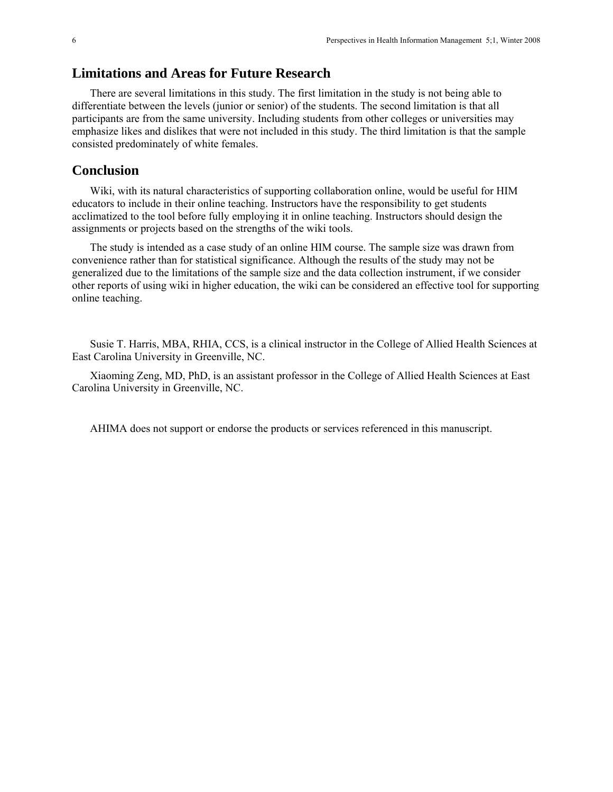### **Limitations and Areas for Future Research**

There are several limitations in this study. The first limitation in the study is not being able to differentiate between the levels (junior or senior) of the students. The second limitation is that all participants are from the same university. Including students from other colleges or universities may emphasize likes and dislikes that were not included in this study. The third limitation is that the sample consisted predominately of white females.

### **Conclusion**

Wiki, with its natural characteristics of supporting collaboration online, would be useful for HIM educators to include in their online teaching. Instructors have the responsibility to get students acclimatized to the tool before fully employing it in online teaching. Instructors should design the assignments or projects based on the strengths of the wiki tools.

The study is intended as a case study of an online HIM course. The sample size was drawn from convenience rather than for statistical significance. Although the results of the study may not be generalized due to the limitations of the sample size and the data collection instrument, if we consider other reports of using wiki in higher education, the wiki can be considered an effective tool for supporting online teaching.

Susie T. Harris, MBA, RHIA, CCS, is a clinical instructor in the College of Allied Health Sciences at East Carolina University in Greenville, NC.

Xiaoming Zeng, MD, PhD, is an assistant professor in the College of Allied Health Sciences at East Carolina University in Greenville, NC.

AHIMA does not support or endorse the products or services referenced in this manuscript.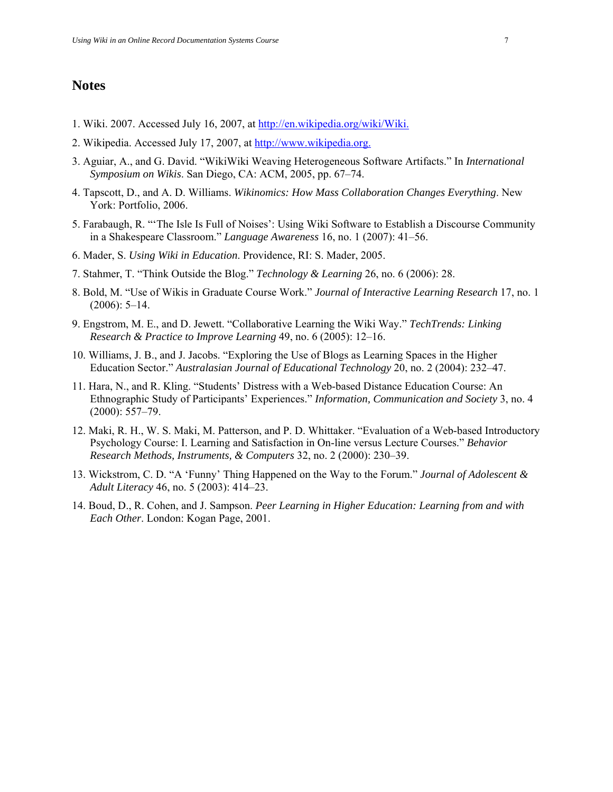#### **Notes**

- 1. Wiki. 2007. Accessed July 16, 2007, at<http://en.wikipedia.org/wiki/Wiki.>
- 2. Wikipedia. Accessed July 17, 2007, at [http://www.wikipedia.org.](http://www.wikipedia.org./)
- 3. Aguiar, A., and G. David. "WikiWiki Weaving Heterogeneous Software Artifacts." In *International Symposium on Wikis*. San Diego, CA: ACM, 2005, pp. 67–74.
- 4. Tapscott, D., and A. D. Williams. *Wikinomics: How Mass Collaboration Changes Everything*. New York: Portfolio, 2006.
- 5. Farabaugh, R. "'The Isle Is Full of Noises': Using Wiki Software to Establish a Discourse Community in a Shakespeare Classroom." *Language Awareness* 16, no. 1 (2007): 41–56.
- 6. Mader, S. *Using Wiki in Education*. Providence, RI: S. Mader, 2005.
- 7. Stahmer, T. "Think Outside the Blog." *Technology & Learning* 26, no. 6 (2006): 28.
- 8. Bold, M. "Use of Wikis in Graduate Course Work." *Journal of Interactive Learning Research* 17, no. 1  $(2006): 5-14.$
- 9. Engstrom, M. E., and D. Jewett. "Collaborative Learning the Wiki Way." *TechTrends: Linking Research & Practice to Improve Learning* 49, no. 6 (2005): 12–16.
- 10. Williams, J. B., and J. Jacobs. "Exploring the Use of Blogs as Learning Spaces in the Higher Education Sector." *Australasian Journal of Educational Technology* 20, no. 2 (2004): 232–47.
- 11. Hara, N., and R. Kling. "Students' Distress with a Web-based Distance Education Course: An Ethnographic Study of Participants' Experiences." *Information, Communication and Society* 3, no. 4 (2000): 557–79.
- 12. Maki, R. H., W. S. Maki, M. Patterson, and P. D. Whittaker. "Evaluation of a Web-based Introductory Psychology Course: I. Learning and Satisfaction in On-line versus Lecture Courses." *Behavior Research Methods, Instruments, & Computers* 32, no. 2 (2000): 230–39.
- 13. Wickstrom, C. D. "A 'Funny' Thing Happened on the Way to the Forum." *Journal of Adolescent & Adult Literacy* 46, no. 5 (2003): 414–23.
- 14. Boud, D., R. Cohen, and J. Sampson. *Peer Learning in Higher Education: Learning from and with Each Other*. London: Kogan Page, 2001.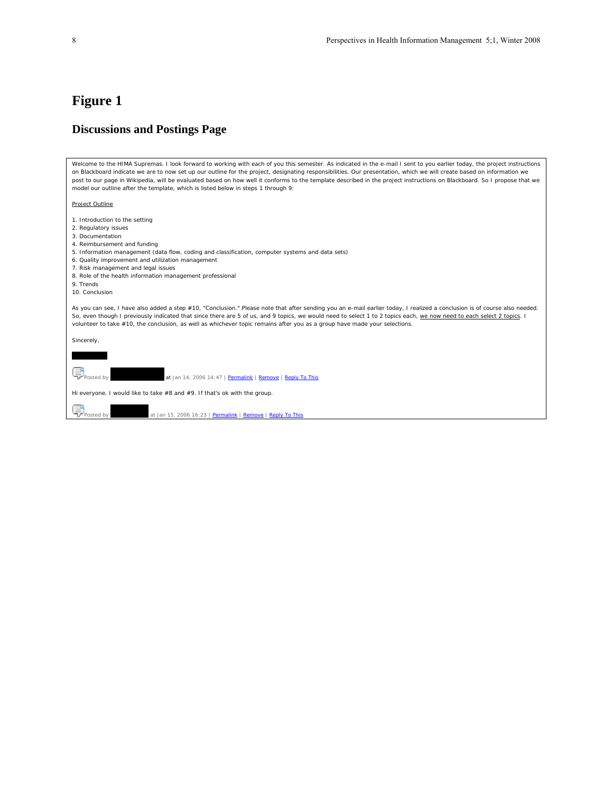#### **Discussions and Postings Page**

*Welcome to the HIMA Supremas.* I look forward to working with each of you this semester. As indicated in the e-mail I sent to you earlier today, the project instructions on Blackboard indicate we are to now set up our outline for the project, designating responsibilities. Our presentation, which we will create based on information we post to our page in Wikipedia, will be evaluated based on how well it conforms to the template described in the project instructions on Blackboard. So I propose that we model our outline after the template, which is listed below in steps 1 through 9: Project Outline 1. Introduction to the setting 2. Regulatory issues 3. Documentation 4. Reimbursement and funding 5. Information management (data flow, coding and classification, computer systems and data sets) 6. Quality improvement and utilization management 7. Risk management and legal issues 8. Role of the health information management professional 9. Trends 10. Conclusion As you can see, I have also added a step #10, "Conclusion." Please note that after sending you an e-mail earlier today, I realized a conclusion is of course also needed. So, even though I previously indicated that since there are 5 of us, and 9 topics, we would need to select 1 to 2 topics each, we now need to each select 2 topics. I volunteer to take #10, the conclusion, as well as whichever topic remains after you as a group have made your selections. Sincerely, Karen Morris Posted by **Arena Morris at Jan 14, 2006 14:47** | [Permalink](http://falcon.aos.ecu.edu:8080/confluence/display/HIMA/HIMA+Supremas+-+Discussions+and+Postings?focusedCommentId=447#comment-447) | [Remove](http://falcon.aos.ecu.edu:8080/confluence/pages/removecomment.action?pageId=412&commentId=447) | [Reply To This](http://falcon.aos.ecu.edu:8080/confluence/display/HIMA/HIMA+Supremas+-+Discussions+and+Postings?replyToComment=447#comment-447) Hi everyone. I would like to take #8 and #9. If that's ok with the group. Posted by  $\overline{X}$  Posted by at Jan 15, 2006 16:23 | [Permalink](http://falcon.aos.ecu.edu:8080/confluence/display/HIMA/HIMA+Supremas+-+Discussions+and+Postings?focusedCommentId=452#comment-452) | [Remove](http://falcon.aos.ecu.edu:8080/confluence/pages/removecomment.action?pageId=412&commentId=452) | Reply To This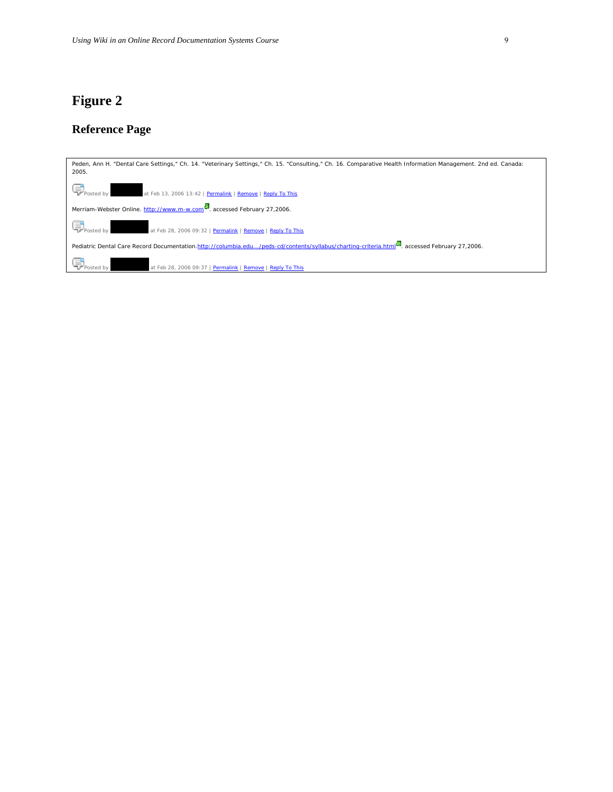# **Reference Page**

| Peden, Ann H. "Dental Care Settings," Ch. 14. "Veterinary Settings," Ch. 15. "Consulting," Ch. 16. Comparative Health Information Management. 2nd ed. Canada:<br>2005. |
|------------------------------------------------------------------------------------------------------------------------------------------------------------------------|
| Posted by<br>at Feb 13, 2006 13:42   Permalink   Remove   Reply To This                                                                                                |
| Merriam-Webster Online. http://www.m-w.com  accessed February 27,2006.                                                                                                 |
| Posted by<br>at Feb 28, 2006 09:32   Permalink   Remove   Reply To This                                                                                                |
| Pediatric Dental Care Record Documentation.http://columbia.edu/peds-cd/contents/syllabus/charting-criteria.html <sup>62</sup> , accessed February 27,2006.             |
| Posted by<br>at Feb 28, 2006 09:37   Permalink   Remove   Reply To This                                                                                                |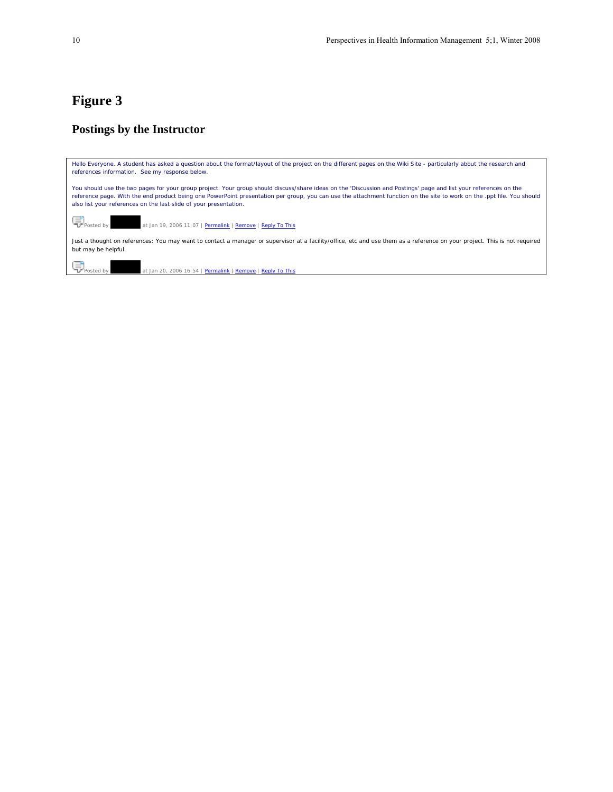### **Postings by the Instructor**

| Hello Everyone. A student has asked a question about the format/layout of the project on the different pages on the Wiki Site - particularly about the research and<br>references information. See my response below.                                                                                                                                                                                           |
|-----------------------------------------------------------------------------------------------------------------------------------------------------------------------------------------------------------------------------------------------------------------------------------------------------------------------------------------------------------------------------------------------------------------|
| You should use the two pages for your group project. Your group should discuss/share ideas on the 'Discussion and Postings' page and list your references on the<br>reference page. With the end product being one PowerPoint presentation per group, you can use the attachment function on the site to work on the .ppt file. You should<br>also list your references on the last slide of your presentation. |
| Posted by<br>at Jan 19, 2006 11:07   Permalink   Remove   Reply To This                                                                                                                                                                                                                                                                                                                                         |
| Just a thought on references: You may want to contact a manager or supervisor at a facility/office, etc and use them as a reference on your project. This is not required<br>but may be helpful.                                                                                                                                                                                                                |
| $\begin{bmatrix} \begin{matrix} \mathbf{I} \\ \mathbf{V} \end{matrix} \end{bmatrix}$ Posted by<br>at Jan 20, 2006 16:54   Permalink   Remove   Reply To This                                                                                                                                                                                                                                                    |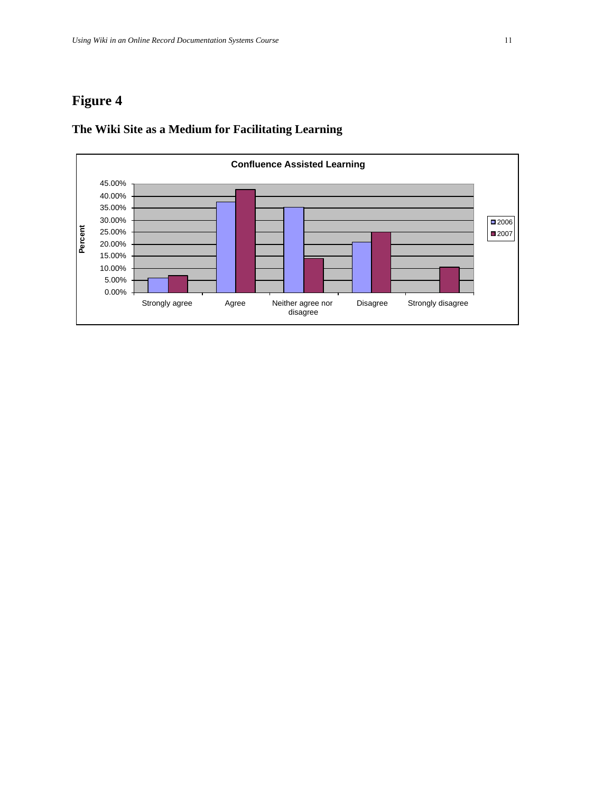

### **The Wiki Site as a Medium for Facilitating Learning**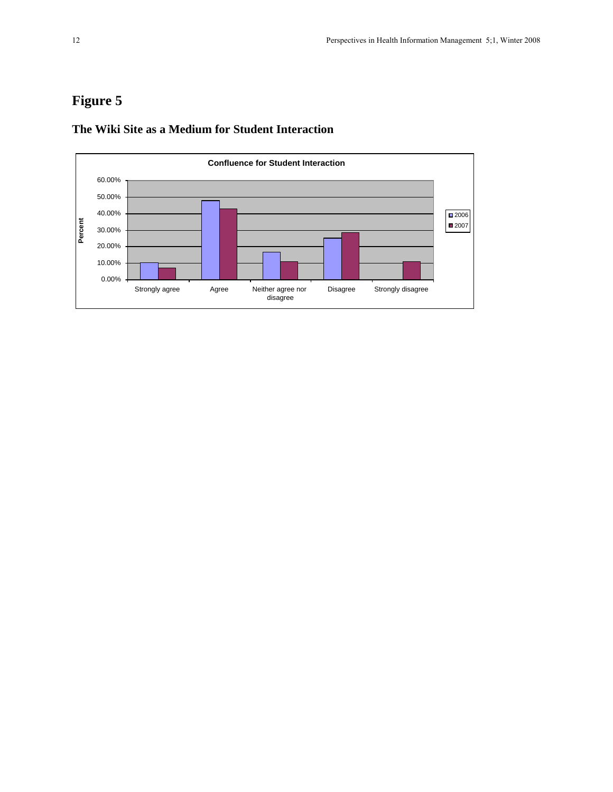

### **The Wiki Site as a Medium for Student Interaction**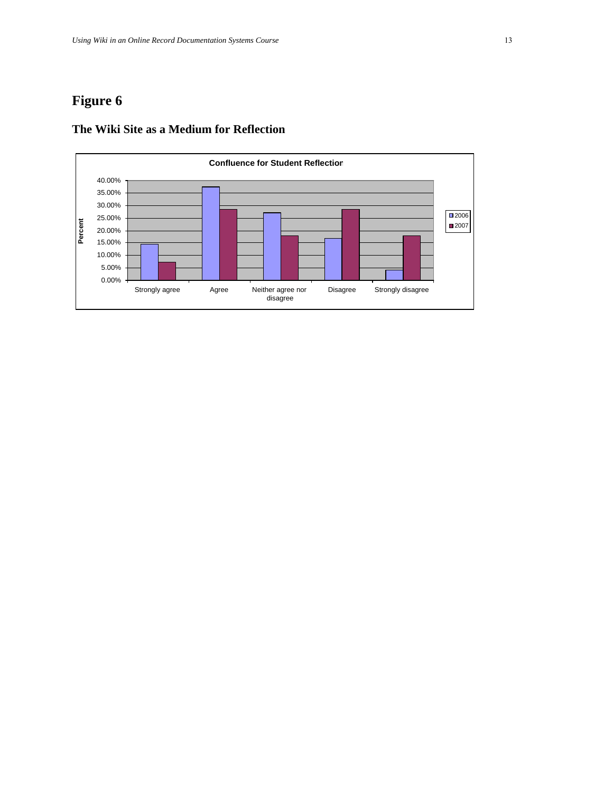

### **The Wiki Site as a Medium for Reflection**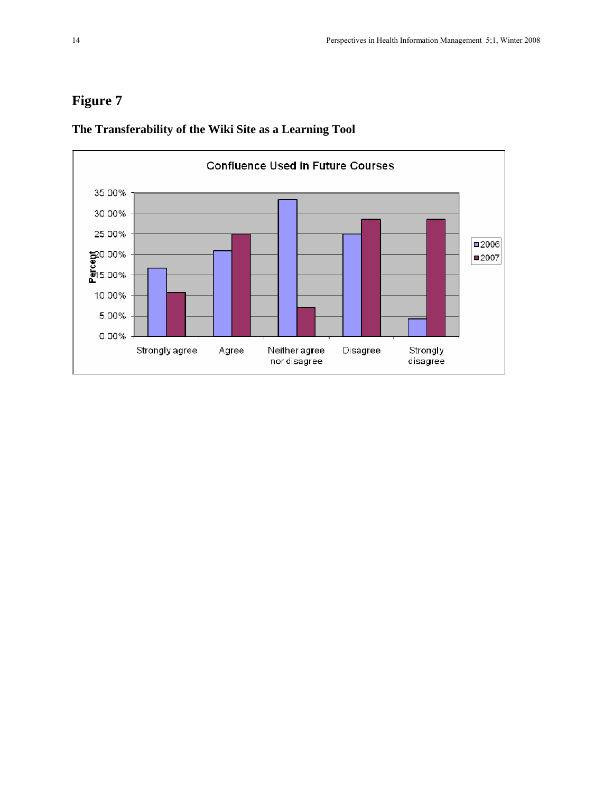

### **The Transferability of the Wiki Site as a Learning Tool**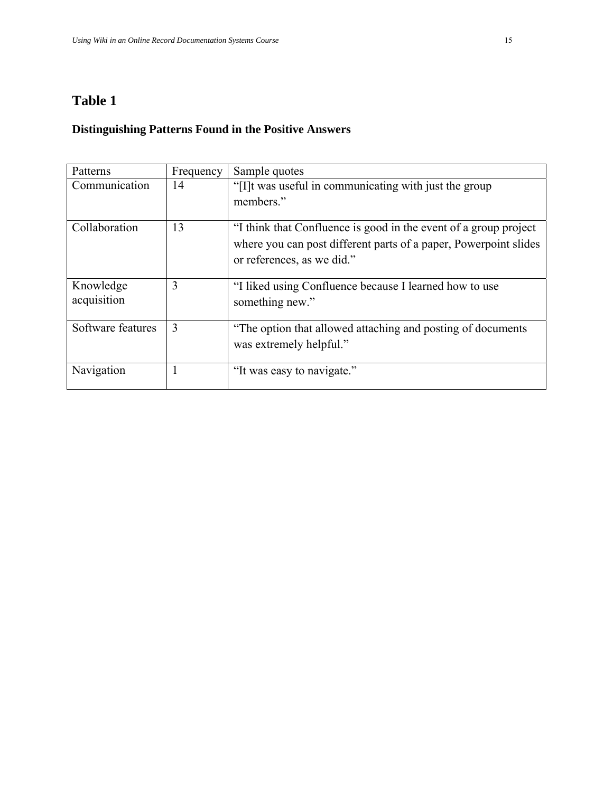# **Table 1**

### **Distinguishing Patterns Found in the Positive Answers**

| Patterns          | Frequency | Sample quotes                                                        |
|-------------------|-----------|----------------------------------------------------------------------|
| Communication     | 14        | "[I] t was useful in communicating with just the group"<br>members." |
|                   |           |                                                                      |
| Collaboration     | 13        | "I think that Confluence is good in the event of a group project     |
|                   |           | where you can post different parts of a paper, Powerpoint slides     |
|                   |           | or references, as we did."                                           |
| Knowledge         | 3         | "I liked using Confluence because I learned how to use               |
| acquisition       |           | something new."                                                      |
| Software features | 3         | "The option that allowed attaching and posting of documents"         |
|                   |           | was extremely helpful."                                              |
| Navigation        |           | "It was easy to navigate."                                           |